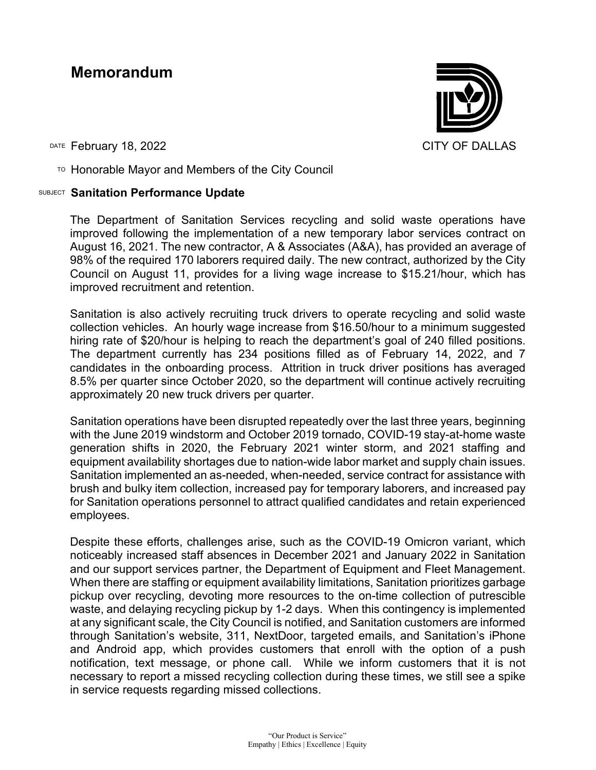# **Memorandum**



DATE February 18, 2022 **CITY OF DALLAS** 

 $T$ <sup>O</sup> Honorable Mayor and Members of the City Council

## SUBJECT **Sanitation Performance Update**

The Department of Sanitation Services recycling and solid waste operations have improved following the implementation of a new temporary labor services contract on August 16, 2021. The new contractor, A & Associates (A&A), has provided an average of 98% of the required 170 laborers required daily. The new contract, authorized by the City Council on August 11, provides for a living wage increase to \$15.21/hour, which has improved recruitment and retention.

Sanitation is also actively recruiting truck drivers to operate recycling and solid waste collection vehicles. An hourly wage increase from \$16.50/hour to a minimum suggested hiring rate of \$20/hour is helping to reach the department's goal of 240 filled positions. The department currently has 234 positions filled as of February 14, 2022, and 7 candidates in the onboarding process. Attrition in truck driver positions has averaged 8.5% per quarter since October 2020, so the department will continue actively recruiting approximately 20 new truck drivers per quarter.

Sanitation operations have been disrupted repeatedly over the last three years, beginning with the June 2019 windstorm and October 2019 tornado, COVID-19 stay-at-home waste generation shifts in 2020, the February 2021 winter storm, and 2021 staffing and equipment availability shortages due to nation-wide labor market and supply chain issues. Sanitation implemented an as-needed, when-needed, service contract for assistance with brush and bulky item collection, increased pay for temporary laborers, and increased pay for Sanitation operations personnel to attract qualified candidates and retain experienced employees.

Despite these efforts, challenges arise, such as the COVID-19 Omicron variant, which noticeably increased staff absences in December 2021 and January 2022 in Sanitation and our support services partner, the Department of Equipment and Fleet Management. When there are staffing or equipment availability limitations, Sanitation prioritizes garbage pickup over recycling, devoting more resources to the on-time collection of putrescible waste, and delaying recycling pickup by 1-2 days. When this contingency is implemented at any significant scale, the City Council is notified, and Sanitation customers are informed through Sanitation's website, 311, NextDoor, targeted emails, and Sanitation's iPhone and Android app, which provides customers that enroll with the option of a push notification, text message, or phone call. While we inform customers that it is not necessary to report a missed recycling collection during these times, we still see a spike in service requests regarding missed collections.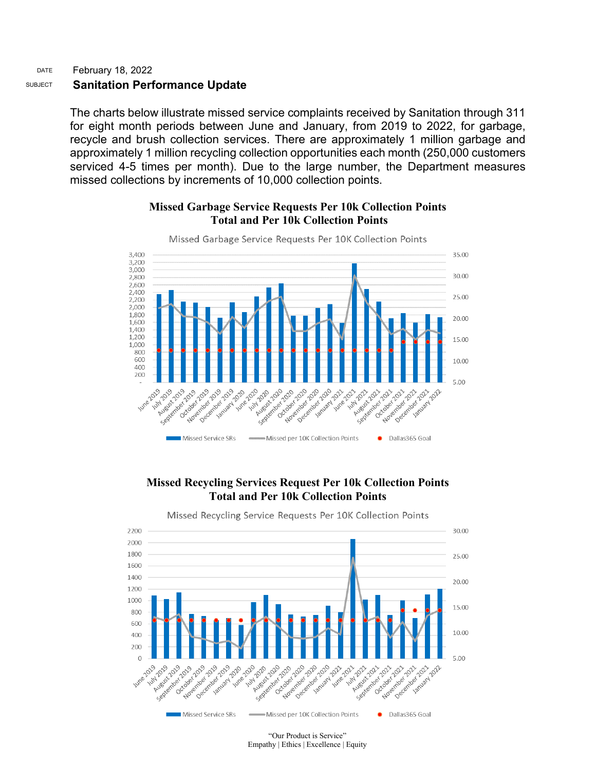### DATE February 18, 2022 SUBJECT **Sanitation Performance Update**

The charts below illustrate missed service complaints received by Sanitation through 311 for eight month periods between June and January, from 2019 to 2022, for garbage, recycle and brush collection services. There are approximately 1 million garbage and approximately 1 million recycling collection opportunities each month (250,000 customers serviced 4-5 times per month). Due to the large number, the Department measures missed collections by increments of 10,000 collection points.

## **Missed Garbage Service Requests Per 10k Collection Points Total and Per 10k Collection Points**



# **Missed Recycling Services Request Per 10k Collection Points Total and Per 10k Collection Points**

Missed Recycling Service Requests Per 10K Collection Points



"Our Product is Service" Empathy | Ethics | Excellence | Equity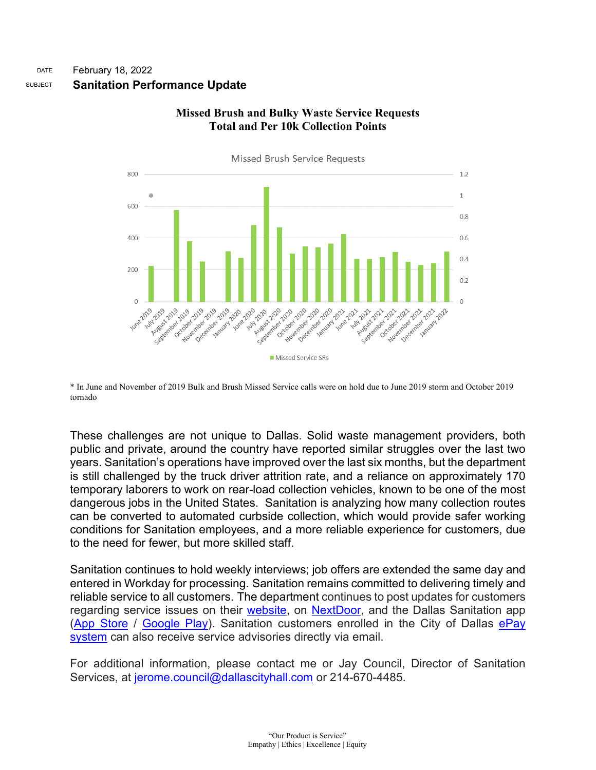

# **Missed Brush and Bulky Waste Service Requests Total and Per 10k Collection Points**

\* In June and November of 2019 Bulk and Brush Missed Service calls were on hold due to June 2019 storm and October 2019 tornado

These challenges are not unique to Dallas. Solid waste management providers, both public and private, around the country have reported similar struggles over the last two years. Sanitation's operations have improved over the last six months, but the department is still challenged by the truck driver attrition rate, and a reliance on approximately 170 temporary laborers to work on rear-load collection vehicles, known to be one of the most dangerous jobs in the United States. Sanitation is analyzing how many collection routes can be converted to automated curbside collection, which would provide safer working conditions for Sanitation employees, and a more reliable experience for customers, due to the need for fewer, but more skilled staff.

Sanitation continues to hold weekly interviews; job offers are extended the same day and entered in Workday for processing. Sanitation remains committed to delivering timely and reliable service to all customers. The department continues to post updates for customers regarding service issues on their [website,](https://gcc02.safelinks.protection.outlook.com/?url=https%3A%2F%2Fdallascityhall.com%2Fdepartments%2Fsanitation&data=04%7C01%7Ccynthia.rico%40dallascityhall.com%7Cfb1212ff6e7b469f785208d96cba3ab5%7C2935709ec10c4809a302852d369f8700%7C0%7C0%7C637660369369975134%7CUnknown%7CTWFpbGZsb3d8eyJWIjoiMC4wLjAwMDAiLCJQIjoiV2luMzIiLCJBTiI6Ik1haWwiLCJXVCI6Mn0%3D%7C1000&sdata=glvm6h44qfA7PsqwZ9DRQPCBlJjGALaukNSMzIKIAsg%3D&reserved=0) on [NextDoor,](https://gcc02.safelinks.protection.outlook.com/?url=https%3A%2F%2Fnextdoor.com%2F&data=04%7C01%7Ccynthia.rico%40dallascityhall.com%7Cfb1212ff6e7b469f785208d96cba3ab5%7C2935709ec10c4809a302852d369f8700%7C0%7C0%7C637660369369985095%7CUnknown%7CTWFpbGZsb3d8eyJWIjoiMC4wLjAwMDAiLCJQIjoiV2luMzIiLCJBTiI6Ik1haWwiLCJXVCI6Mn0%3D%7C1000&sdata=Nn1SU80aQmH%2BhOsucWdwMr5wfgtu8vslhS64pQ%2F6NNU%3D&reserved=0) and the Dallas Sanitation app [\(App Store](https://gcc02.safelinks.protection.outlook.com/?url=https%3A%2F%2Fitunes.apple.com%2Fapp%2Fid1079425049&data=04%7C01%7Ccynthia.rico%40dallascityhall.com%7Cfb1212ff6e7b469f785208d96cba3ab5%7C2935709ec10c4809a302852d369f8700%7C0%7C0%7C637660369369985095%7CUnknown%7CTWFpbGZsb3d8eyJWIjoiMC4wLjAwMDAiLCJQIjoiV2luMzIiLCJBTiI6Ik1haWwiLCJXVCI6Mn0%3D%7C1000&sdata=v4QM4pHXxO0hEcSt1o4C1ZpeCwU12RATPBt7QsE%2BBJQ%3D&reserved=0) / [Google Play\)](https://gcc02.safelinks.protection.outlook.com/?url=https%3A%2F%2Fplay.google.com%2Fstore%2Fapps%2Fdetails%3Fid%3Dnet.recollect.dallas&data=04%7C01%7Ccynthia.rico%40dallascityhall.com%7Cfb1212ff6e7b469f785208d96cba3ab5%7C2935709ec10c4809a302852d369f8700%7C0%7C0%7C637660369369985095%7CUnknown%7CTWFpbGZsb3d8eyJWIjoiMC4wLjAwMDAiLCJQIjoiV2luMzIiLCJBTiI6Ik1haWwiLCJXVCI6Mn0%3D%7C1000&sdata=5JaMrnw8WuRKx6oOk94xRPmIXDXTtnqceKGNDNxQ5mQ%3D&reserved=0). Sanitation customers enrolled in the City of Dallas [ePay](https://gcc02.safelinks.protection.outlook.com/?url=https%3A%2F%2Fepay.dallascityhall.com%2Fbdisu%2Fpublic%2Fframeset_top_html.jsp&data=04%7C01%7Ccynthia.rico%40dallascityhall.com%7Cfb1212ff6e7b469f785208d96cba3ab5%7C2935709ec10c4809a302852d369f8700%7C0%7C0%7C637660369369995048%7CUnknown%7CTWFpbGZsb3d8eyJWIjoiMC4wLjAwMDAiLCJQIjoiV2luMzIiLCJBTiI6Ik1haWwiLCJXVCI6Mn0%3D%7C1000&sdata=KpPdcpu25724IbANKckzhCoSOdONa4R%2FKiRFIu%2F3m1U%3D&reserved=0)  [system](https://gcc02.safelinks.protection.outlook.com/?url=https%3A%2F%2Fepay.dallascityhall.com%2Fbdisu%2Fpublic%2Fframeset_top_html.jsp&data=04%7C01%7Ccynthia.rico%40dallascityhall.com%7Cfb1212ff6e7b469f785208d96cba3ab5%7C2935709ec10c4809a302852d369f8700%7C0%7C0%7C637660369369995048%7CUnknown%7CTWFpbGZsb3d8eyJWIjoiMC4wLjAwMDAiLCJQIjoiV2luMzIiLCJBTiI6Ik1haWwiLCJXVCI6Mn0%3D%7C1000&sdata=KpPdcpu25724IbANKckzhCoSOdONa4R%2FKiRFIu%2F3m1U%3D&reserved=0) can also receive service advisories directly via email.

For additional information, please contact me or Jay Council, Director of Sanitation Services, at [jerome.council@dallascityhall.com](mailto:jerome.council@dallascityhall.com) or 214-670-4485.